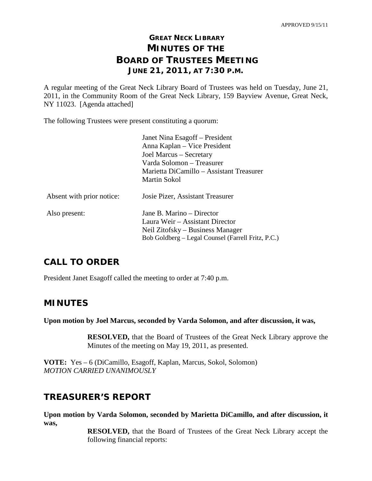# **GREAT NECK LIBRARY MINUTES OF THE BOARD OF TRUSTEES MEETING JUNE 21, 2011, AT 7:30 P.M.**

A regular meeting of the Great Neck Library Board of Trustees was held on Tuesday, June 21, 2011, in the Community Room of the Great Neck Library, 159 Bayview Avenue, Great Neck, NY 11023. [Agenda attached]

The following Trustees were present constituting a quorum:

|                           | Janet Nina Esagoff – President<br>Anna Kaplan – Vice President<br>Joel Marcus – Secretary<br>Varda Solomon – Treasurer<br>Marietta DiCamillo – Assistant Treasurer<br>Martin Sokol |
|---------------------------|------------------------------------------------------------------------------------------------------------------------------------------------------------------------------------|
| Absent with prior notice: | Josie Pizer, Assistant Treasurer                                                                                                                                                   |
| Also present:             | Jane B. Marino – Director<br>Laura Weir – Assistant Director<br>Neil Zitofsky – Business Manager<br>Bob Goldberg – Legal Counsel (Farrell Fritz, P.C.)                             |

# **CALL TO ORDER**

President Janet Esagoff called the meeting to order at 7:40 p.m.

# **MINUTES**

**Upon motion by Joel Marcus, seconded by Varda Solomon, and after discussion, it was,**

**RESOLVED,** that the Board of Trustees of the Great Neck Library approve the Minutes of the meeting on May 19, 2011, as presented.

**VOTE:** Yes – 6 (DiCamillo, Esagoff, Kaplan, Marcus, Sokol, Solomon) *MOTION CARRIED UNANIMOUSLY*

# **TREASURER'S REPORT**

**Upon motion by Varda Solomon, seconded by Marietta DiCamillo, and after discussion, it was,**

**RESOLVED,** that the Board of Trustees of the Great Neck Library accept the following financial reports: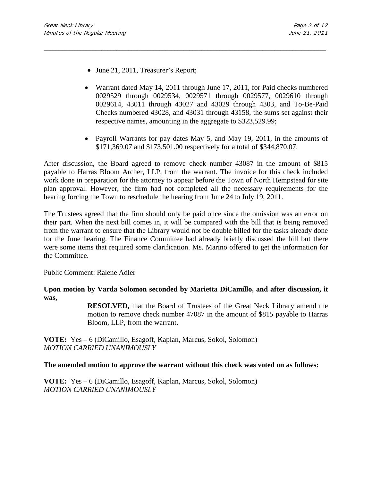- June 21, 2011, Treasurer's Report;
- Warrant dated May 14, 2011 through June 17, 2011, for Paid checks numbered 0029529 through 0029534, 0029571 through 0029577, 0029610 through 0029614, 43011 through 43027 and 43029 through 4303, and To-Be-Paid Checks numbered 43028, and 43031 through 43158, the sums set against their respective names, amounting in the aggregate to \$323,529.99;
- Payroll Warrants for pay dates May 5, and May 19, 2011, in the amounts of \$171,369.07 and \$173,501.00 respectively for a total of \$344,870.07.

After discussion, the Board agreed to remove check number 43087 in the amount of \$815 payable to Harras Bloom Archer, LLP, from the warrant. The invoice for this check included work done in preparation for the attorney to appear before the Town of North Hempstead for site plan approval. However, the firm had not completed all the necessary requirements for the hearing forcing the Town to reschedule the hearing from June 24 to July 19, 2011.

\_\_\_\_\_\_\_\_\_\_\_\_\_\_\_\_\_\_\_\_\_\_\_\_\_\_\_\_\_\_\_\_\_\_\_\_\_\_\_\_\_\_\_\_\_\_\_\_\_\_\_\_\_\_\_\_\_\_\_\_\_\_\_\_\_\_\_\_\_\_\_\_\_\_\_\_\_\_\_\_\_\_\_\_\_\_\_\_\_\_\_\_\_

The Trustees agreed that the firm should only be paid once since the omission was an error on their part. When the next bill comes in, it will be compared with the bill that is being removed from the warrant to ensure that the Library would not be double billed for the tasks already done for the June hearing. The Finance Committee had already briefly discussed the bill but there were some items that required some clarification. Ms. Marino offered to get the information for the Committee.

Public Comment: Ralene Adler

**Upon motion by Varda Solomon seconded by Marietta DiCamillo, and after discussion, it was,**

> **RESOLVED,** that the Board of Trustees of the Great Neck Library amend the motion to remove check number 47087 in the amount of \$815 payable to Harras Bloom, LLP, from the warrant.

**VOTE:** Yes – 6 (DiCamillo, Esagoff, Kaplan, Marcus, Sokol, Solomon) *MOTION CARRIED UNANIMOUSLY*

## **The amended motion to approve the warrant without this check was voted on as follows:**

**VOTE:** Yes – 6 (DiCamillo, Esagoff, Kaplan, Marcus, Sokol, Solomon) *MOTION CARRIED UNANIMOUSLY*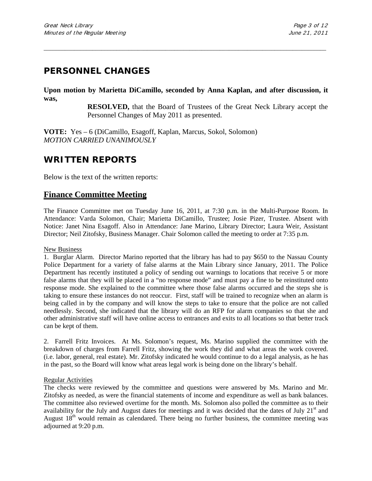# **PERSONNEL CHANGES**

**Upon motion by Marietta DiCamillo, seconded by Anna Kaplan, and after discussion, it was,**

\_\_\_\_\_\_\_\_\_\_\_\_\_\_\_\_\_\_\_\_\_\_\_\_\_\_\_\_\_\_\_\_\_\_\_\_\_\_\_\_\_\_\_\_\_\_\_\_\_\_\_\_\_\_\_\_\_\_\_\_\_\_\_\_\_\_\_\_\_\_\_\_\_\_\_\_\_\_\_\_\_\_\_\_\_\_\_\_\_\_\_\_\_

**RESOLVED,** that the Board of Trustees of the Great Neck Library accept the Personnel Changes of May 2011 as presented.

**VOTE:** Yes – 6 (DiCamillo, Esagoff, Kaplan, Marcus, Sokol, Solomon) *MOTION CARRIED UNANIMOUSLY*

# **WRITTEN REPORTS**

Below is the text of the written reports:

## **Finance Committee Meeting**

The Finance Committee met on Tuesday June 16, 2011, at 7:30 p.m. in the Multi-Purpose Room. In Attendance: Varda Solomon, Chair; Marietta DiCamillo, Trustee; Josie Pizer, Trustee. Absent with Notice: Janet Nina Esagoff. Also in Attendance: Jane Marino, Library Director; Laura Weir, Assistant Director; Neil Zitofsky, Business Manager. Chair Solomon called the meeting to order at 7:35 p.m.

### New Business

1. Burglar Alarm.Director Marino reported that the library has had to pay \$650 to the Nassau County Police Department for a variety of false alarms at the Main Library since January, 2011. The Police Department has recently instituted a policy of sending out warnings to locations that receive 5 or more false alarms that they will be placed in a "no response mode" and must pay a fine to be reinstituted onto response mode. She explained to the committee where those false alarms occurred and the steps she is taking to ensure these instances do not reoccur. First, staff will be trained to recognize when an alarm is being called in by the company and will know the steps to take to ensure that the police are not called needlessly. Second, she indicated that the library will do an RFP for alarm companies so that she and other administrative staff will have online access to entrances and exits to all locations so that better track can be kept of them.

2. Farrell Fritz Invoices.At Ms. Solomon's request, Ms. Marino supplied the committee with the breakdown of charges from Farrell Fritz, showing the work they did and what areas the work covered. (i.e. labor, general, real estate). Mr. Zitofsky indicated he would continue to do a legal analysis, as he has in the past, so the Board will know what areas legal work is being done on the library's behalf.

### Regular Activities

The checks were reviewed by the committee and questions were answered by Ms. Marino and Mr. Zitofsky as needed, as were the financial statements of income and expenditure as well as bank balances. The committee also reviewed overtime for the month. Ms. Solomon also polled the committee as to their availability for the July and August dates for meetings and it was decided that the dates of July  $21<sup>st</sup>$  and August  $18<sup>th</sup>$  would remain as calendared. There being no further business, the committee meeting was adjourned at 9:20 p.m.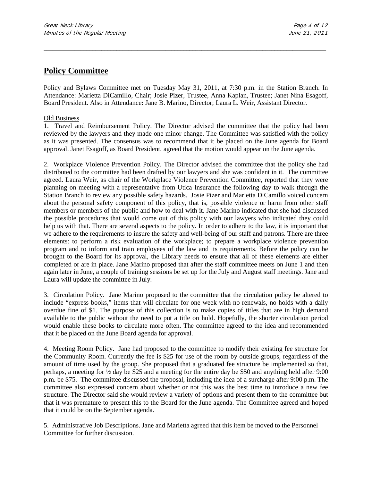# **Policy Committee**

Policy and Bylaws Committee met on Tuesday May 31, 2011, at 7:30 p.m. in the Station Branch. In Attendance: Marietta DiCamillo, Chair; Josie Pizer, Trustee, Anna Kaplan, Trustee; Janet Nina Esagoff, Board President. Also in Attendance**:** Jane B. Marino, Director; Laura L. Weir, Assistant Director.

\_\_\_\_\_\_\_\_\_\_\_\_\_\_\_\_\_\_\_\_\_\_\_\_\_\_\_\_\_\_\_\_\_\_\_\_\_\_\_\_\_\_\_\_\_\_\_\_\_\_\_\_\_\_\_\_\_\_\_\_\_\_\_\_\_\_\_\_\_\_\_\_\_\_\_\_\_\_\_\_\_\_\_\_\_\_\_\_\_\_\_\_\_

### Old Business

1. Travel and Reimbursement Policy. The Director advised the committee that the policy had been reviewed by the lawyers and they made one minor change. The Committee was satisfied with the policy as it was presented. The consensus was to recommend that it be placed on the June agenda for Board approval. Janet Esagoff, as Board President, agreed that the motion would appear on the June agenda.

2. Workplace Violence Prevention Policy. The Director advised the committee that the policy she had distributed to the committee had been drafted by our lawyers and she was confident in it. The committee agreed. Laura Weir, as chair of the Workplace Violence Prevention Committee, reported that they were planning on meeting with a representative from Utica Insurance the following day to walk through the Station Branch to review any possible safety hazards. Josie Pizer and Marietta DiCamillo voiced concern about the personal safety component of this policy, that is, possible violence or harm from other staff members or members of the public and how to deal with it. Jane Marino indicated that she had discussed the possible procedures that would come out of this policy with our lawyers who indicated they could help us with that. There are several aspects to the policy. In order to adhere to the law, it is important that we adhere to the requirements to insure the safety and well-being of our staff and patrons. There are three elements: to perform a risk evaluation of the workplace; to prepare a workplace violence prevention program and to inform and train employees of the law and its requirements. Before the policy can be brought to the Board for its approval, the Library needs to ensure that all of these elements are either completed or are in place. Jane Marino proposed that after the staff committee meets on June 1 and then again later in June, a couple of training sessions be set up for the July and August staff meetings. Jane and Laura will update the committee in July.

3. Circulation Policy.Jane Marino proposed to the committee that the circulation policy be altered to include "express books," items that will circulate for one week with no renewals, no holds with a daily overdue fine of \$1. The purpose of this collection is to make copies of titles that are in high demand available to the public without the need to put a title on hold. Hopefully, the shorter circulation period would enable these books to circulate more often. The committee agreed to the idea and recommended that it be placed on the June Board agenda for approval.

4. Meeting Room Policy.Jane had proposed to the committee to modify their existing fee structure for the Community Room. Currently the fee is \$25 for use of the room by outside groups, regardless of the amount of time used by the group. She proposed that a graduated fee structure be implemented so that, perhaps, a meeting for ½ day be \$25 and a meeting for the entire day be \$50 and anything held after 9:00 p.m. be \$75. The committee discussed the proposal, including the idea of a surcharge after 9:00 p.m. The committee also expressed concern about whether or not this was the best time to introduce a new fee structure. The Director said she would review a variety of options and present them to the committee but that it was premature to present this to the Board for the June agenda. The Committee agreed and hoped that it could be on the September agenda.

5. Administrative Job Descriptions. Jane and Marietta agreed that this item be moved to the Personnel Committee for further discussion.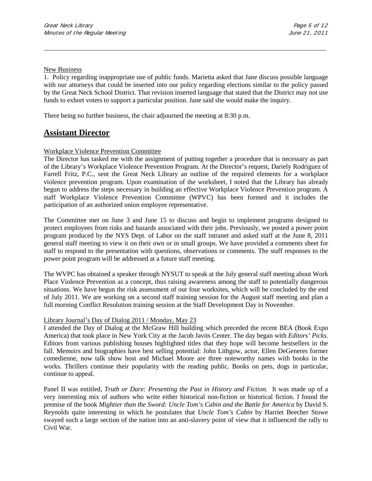#### New Business

1. Policy regarding inappropriate use of public funds. Marietta asked that Jane discuss possible language with our attorneys that could be inserted into our policy regarding elections similar to the policy passed by the Great Neck School District. That revision inserted language that stated that the District may not use funds to exhort voters to support a particular position. Jane said she would make the inquiry.

\_\_\_\_\_\_\_\_\_\_\_\_\_\_\_\_\_\_\_\_\_\_\_\_\_\_\_\_\_\_\_\_\_\_\_\_\_\_\_\_\_\_\_\_\_\_\_\_\_\_\_\_\_\_\_\_\_\_\_\_\_\_\_\_\_\_\_\_\_\_\_\_\_\_\_\_\_\_\_\_\_\_\_\_\_\_\_\_\_\_\_\_\_

There being no further business, the chair adjourned the meeting at 8:30 p.m.

# **Assistant Director**

### Workplace Violence Prevention Committee

The Director has tasked me with the assignment of putting together a procedure that is necessary as part of the Library's Workplace Violence Prevention Program. At the Director's request, Dariely Rodriguez of Farrell Fritz, P.C., sent the Great Neck Library an outline of the required elements for a workplace violence prevention program. Upon examination of the worksheet, I noted that the Library has already begun to address the steps necessary in building an effective Workplace Violence Prevention program. A staff Workplace Violence Prevention Committee (WPVC) has been formed and it includes the participation of an authorized union employee representative.

The Committee met on June 3 and June 15 to discuss and begin to implement programs designed to protect employees from risks and hazards associated with their jobs. Previously, we posted a power point program produced by the NYS Dept. of Labor on the staff intranet and asked staff at the June 8, 2011 general staff meeting to view it on their own or in small groups. We have provided a comments sheet for staff to respond to the presentation with questions, observations or comments. The staff responses to the power point program will be addressed at a future staff meeting.

The WVPC has obtained a speaker through NYSUT to speak at the July general staff meeting about Work Place Violence Prevention as a concept, thus raising awareness among the staff to potentially dangerous situations. We have begun the risk assessment of our four worksites, which will be concluded by the end of July 2011. We are working on a second staff training session for the August staff meeting and plan a full morning Conflict Resolution training session at the Staff Development Day in November.

### Library Journal's Day of Dialog 2011 / Monday, May 23

I attended the Day of Dialog at the McGraw Hill building which preceded the recent BEA (Book Expo America) that took place in New York City at the Jacob Javits Center. The day began with *Editors' Picks*. Editors from various publishing houses highlighted titles that they hope will become bestsellers in the fall. Memoirs and biographies have best selling potential: John Lithgow, actor, Ellen DeGeneres former comedienne, now talk show host and Michael Moore are three noteworthy names with books in the works. Thrillers continue their popularity with the reading public. Books on pets, dogs in particular, continue to appeal.

Panel II was entitled, *Truth or Dare: Presenting the Past in History and Fiction.* It was made up of a very interesting mix of authors who write either historical non-fiction or historical fiction. I found the premise of the book *Mightier than the Sword: Uncle Tom's Cabin and the Battle for America* by David S. Reynolds quite interesting in which he postulates that *Uncle Tom's Cabin* by Harriet Beecher Stowe swayed such a large section of the nation into an anti-slavery point of view that it influenced the rally to Civil War.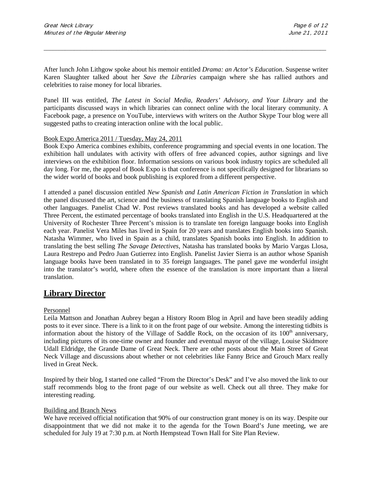After lunch John Lithgow spoke about his memoir entitled *Drama: an Actor's Education*. Suspense writer Karen Slaughter talked about her *Save the Libraries* campaign where she has rallied authors and celebrities to raise money for local libraries.

\_\_\_\_\_\_\_\_\_\_\_\_\_\_\_\_\_\_\_\_\_\_\_\_\_\_\_\_\_\_\_\_\_\_\_\_\_\_\_\_\_\_\_\_\_\_\_\_\_\_\_\_\_\_\_\_\_\_\_\_\_\_\_\_\_\_\_\_\_\_\_\_\_\_\_\_\_\_\_\_\_\_\_\_\_\_\_\_\_\_\_\_\_

Panel III was entitled, *The Latest in Social Media*, *Readers' Advisory, and Your Library* and the participants discussed ways in which libraries can connect online with the local literary community. A Facebook page, a presence on YouTube, interviews with writers on the Author Skype Tour blog were all suggested paths to creating interaction online with the local public.

### Book Expo America 2011 / Tuesday, May 24, 2011

Book Expo America combines exhibits, conference programming and special events in one location. The exhibition hall undulates with activity with offers of free advanced copies, author signings and live interviews on the exhibition floor. Information sessions on various book industry topics are scheduled all day long. For me, the appeal of Book Expo is that conference is not specifically designed for librarians so the wider world of books and book publishing is explored from a different perspective.

I attended a panel discussion entitled *New Spanish and Latin American Fiction in Translation* in which the panel discussed the art, science and the business of translating Spanish language books to English and other languages. Panelist Chad W. Post reviews translated books and has developed a website called Three Percent, the estimated percentage of books translated into English in the U.S. Headquartered at the University of Rochester Three Percent's mission is to translate ten foreign language books into English each year. Panelist Vera Miles has lived in Spain for 20 years and translates English books into Spanish. Natasha Wimmer, who lived in Spain as a child, translates Spanish books into English. In addition to translating the best selling *The Savage Detectives*, Natasha has translated books by Mario Vargas Llosa, Laura Restrepo and Pedro Juan Gutierrez into English. Panelist Javier Sierra is an author whose Spanish language books have been translated in to 35 foreign languages. The panel gave me wonderful insight into the translator's world, where often the essence of the translation is more important than a literal translation.

## **Library Director**

### Personnel

Leila Mattson and Jonathan Aubrey began a History Room Blog in April and have been steadily adding posts to it ever since. There is a link to it on the front page of our website. Among the interesting tidbits is information about the history of the Village of Saddle Rock, on the occasion of its 100<sup>th</sup> anniversary, including pictures of its one-time owner and founder and eventual mayor of the village, Louise Skidmore Udall Eldridge, the Grande Dame of Great Neck. There are other posts about the Main Street of Great Neck Village and discussions about whether or not celebrities like Fanny Brice and Grouch Marx really lived in Great Neck.

Inspired by their blog, I started one called "From the Director's Desk" and I've also moved the link to our staff recommends blog to the front page of our website as well. Check out all three. They make for interesting reading.

### Building and Branch News

We have received official notification that 90% of our construction grant money is on its way. Despite our disappointment that we did not make it to the agenda for the Town Board's June meeting, we are scheduled for July 19 at 7:30 p.m. at North Hempstead Town Hall for Site Plan Review.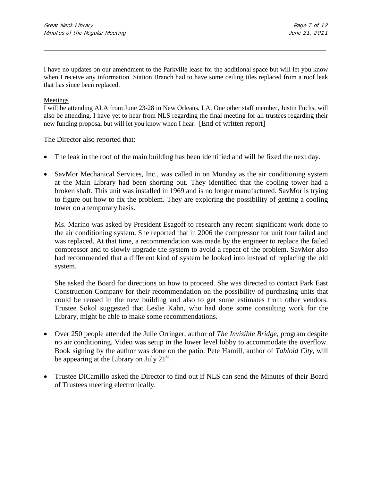I have no updates on our amendment to the Parkville lease for the additional space but will let you know when I receive any information. Station Branch had to have some ceiling tiles replaced from a roof leak that has since been replaced.

\_\_\_\_\_\_\_\_\_\_\_\_\_\_\_\_\_\_\_\_\_\_\_\_\_\_\_\_\_\_\_\_\_\_\_\_\_\_\_\_\_\_\_\_\_\_\_\_\_\_\_\_\_\_\_\_\_\_\_\_\_\_\_\_\_\_\_\_\_\_\_\_\_\_\_\_\_\_\_\_\_\_\_\_\_\_\_\_\_\_\_\_\_

### Meetings

I will be attending ALA from June 23-28 in New Orleans, LA. One other staff member, Justin Fuchs, will also be attending. I have yet to hear from NLS regarding the final meeting for all trustees regarding their new funding proposal but will let you know when I hear. [End of written report]

The Director also reported that:

- The leak in the roof of the main building has been identified and will be fixed the next day.
- SavMor Mechanical Services, Inc., was called in on Monday as the air conditioning system at the Main Library had been shorting out. They identified that the cooling tower had a broken shaft. This unit was installed in 1969 and is no longer manufactured. SavMor is trying to figure out how to fix the problem. They are exploring the possibility of getting a cooling tower on a temporary basis.

Ms. Marino was asked by President Esagoff to research any recent significant work done to the air conditioning system. She reported that in 2006 the compressor for unit four failed and was replaced. At that time, a recommendation was made by the engineer to replace the failed compressor and to slowly upgrade the system to avoid a repeat of the problem. SavMor also had recommended that a different kind of system be looked into instead of replacing the old system.

She asked the Board for directions on how to proceed. She was directed to contact Park East Construction Company for their recommendation on the possibility of purchasing units that could be reused in the new building and also to get some estimates from other vendors. Trustee Sokol suggested that Leslie Kahn, who had done some consulting work for the Library, might be able to make some recommendations.

- Over 250 people attended the Julie Orringer, author of *The Invisible Bridge,* program despite no air conditioning. Video was setup in the lower level lobby to accommodate the overflow. Book signing by the author was done on the patio. Pete Hamill, author of *Tabloid City*, will be appearing at the Library on July  $21^{st}$ .
- Trustee DiCamillo asked the Director to find out if NLS can send the Minutes of their Board of Trustees meeting electronically.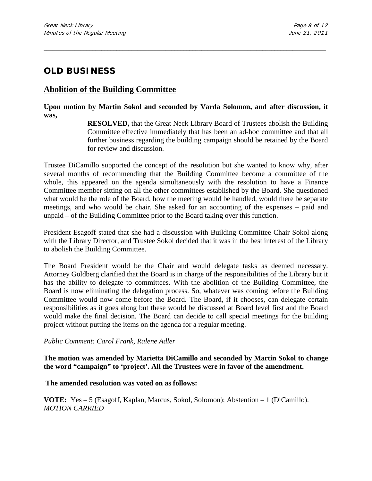# **OLD BUSINESS**

# **Abolition of the Building Committee**

## **Upon motion by Martin Sokol and seconded by Varda Solomon, and after discussion, it was,**

\_\_\_\_\_\_\_\_\_\_\_\_\_\_\_\_\_\_\_\_\_\_\_\_\_\_\_\_\_\_\_\_\_\_\_\_\_\_\_\_\_\_\_\_\_\_\_\_\_\_\_\_\_\_\_\_\_\_\_\_\_\_\_\_\_\_\_\_\_\_\_\_\_\_\_\_\_\_\_\_\_\_\_\_\_\_\_\_\_\_\_\_\_

**RESOLVED,** that the Great Neck Library Board of Trustees abolish the Building Committee effective immediately that has been an ad-hoc committee and that all further business regarding the building campaign should be retained by the Board for review and discussion.

Trustee DiCamillo supported the concept of the resolution but she wanted to know why, after several months of recommending that the Building Committee become a committee of the whole, this appeared on the agenda simultaneously with the resolution to have a Finance Committee member sitting on all the other committees established by the Board. She questioned what would be the role of the Board, how the meeting would be handled, would there be separate meetings, and who would be chair. She asked for an accounting of the expenses – paid and unpaid – of the Building Committee prior to the Board taking over this function.

President Esagoff stated that she had a discussion with Building Committee Chair Sokol along with the Library Director, and Trustee Sokol decided that it was in the best interest of the Library to abolish the Building Committee.

The Board President would be the Chair and would delegate tasks as deemed necessary. Attorney Goldberg clarified that the Board is in charge of the responsibilities of the Library but it has the ability to delegate to committees. With the abolition of the Building Committee, the Board is now eliminating the delegation process. So, whatever was coming before the Building Committee would now come before the Board. The Board, if it chooses, can delegate certain responsibilities as it goes along but these would be discussed at Board level first and the Board would make the final decision. The Board can decide to call special meetings for the building project without putting the items on the agenda for a regular meeting.

## *Public Comment: Carol Frank, Ralene Adler*

**The motion was amended by Marietta DiCamillo and seconded by Martin Sokol to change the word "campaign" to 'project'. All the Trustees were in favor of the amendment.**

## **The amended resolution was voted on as follows:**

**VOTE:** Yes – 5 (Esagoff, Kaplan, Marcus, Sokol, Solomon); Abstention – 1 (DiCamillo). *MOTION CARRIED*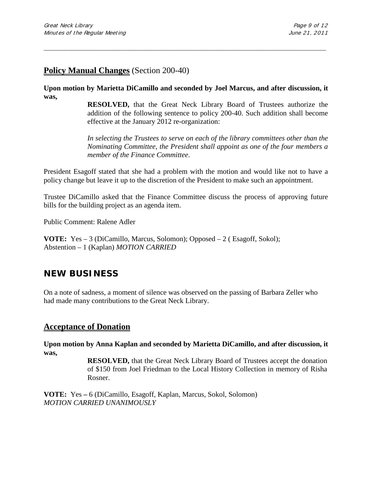# **Policy Manual Changes** (Section 200-40)

**Upon motion by Marietta DiCamillo and seconded by Joel Marcus, and after discussion, it was,**

\_\_\_\_\_\_\_\_\_\_\_\_\_\_\_\_\_\_\_\_\_\_\_\_\_\_\_\_\_\_\_\_\_\_\_\_\_\_\_\_\_\_\_\_\_\_\_\_\_\_\_\_\_\_\_\_\_\_\_\_\_\_\_\_\_\_\_\_\_\_\_\_\_\_\_\_\_\_\_\_\_\_\_\_\_\_\_\_\_\_\_\_\_

**RESOLVED,** that the Great Neck Library Board of Trustees authorize the addition of the following sentence to policy 200-40. Such addition shall become effective at the January 2012 re-organization:

*In selecting the Trustees to serve on each of the library committees other than the Nominating Committee, the President shall appoint as one of the four members a member of the Finance Committee*.

President Esagoff stated that she had a problem with the motion and would like not to have a policy change but leave it up to the discretion of the President to make such an appointment.

Trustee DiCamillo asked that the Finance Committee discuss the process of approving future bills for the building project as an agenda item.

Public Comment: Ralene Adler

**VOTE:** Yes – 3 (DiCamillo, Marcus, Solomon); Opposed – 2 ( Esagoff, Sokol); Abstention – 1 (Kaplan) *MOTION CARRIED* 

# **NEW BUSINESS**

On a note of sadness, a moment of silence was observed on the passing of Barbara Zeller who had made many contributions to the Great Neck Library.

## **Acceptance of Donation**

**Upon motion by Anna Kaplan and seconded by Marietta DiCamillo, and after discussion, it was,**

> **RESOLVED,** that the Great Neck Library Board of Trustees accept the donation of \$150 from Joel Friedman to the Local History Collection in memory of Risha Rosner.

**VOTE:** Yes **–** 6 (DiCamillo, Esagoff, Kaplan, Marcus, Sokol, Solomon) *MOTION CARRIED UNANIMOUSLY*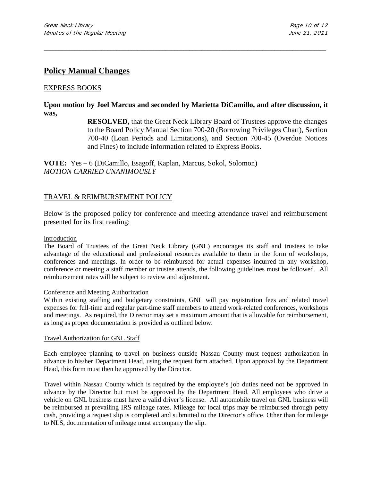# **Policy Manual Changes**

### EXPRESS BOOKS

## **Upon motion by Joel Marcus and seconded by Marietta DiCamillo, and after discussion, it was,**

\_\_\_\_\_\_\_\_\_\_\_\_\_\_\_\_\_\_\_\_\_\_\_\_\_\_\_\_\_\_\_\_\_\_\_\_\_\_\_\_\_\_\_\_\_\_\_\_\_\_\_\_\_\_\_\_\_\_\_\_\_\_\_\_\_\_\_\_\_\_\_\_\_\_\_\_\_\_\_\_\_\_\_\_\_\_\_\_\_\_\_\_\_

**RESOLVED,** that the Great Neck Library Board of Trustees approve the changes to the Board Policy Manual Section 700-20 (Borrowing Privileges Chart), Section 700-40 (Loan Periods and Limitations), and Section 700-45 (Overdue Notices and Fines) to include information related to Express Books.

**VOTE:** Yes **–** 6 (DiCamillo, Esagoff, Kaplan, Marcus, Sokol, Solomon) *MOTION CARRIED UNANIMOUSLY*

## TRAVEL & REIMBURSEMENT POLICY

Below is the proposed policy for conference and meeting attendance travel and reimbursement presented for its first reading:

#### Introduction

The Board of Trustees of the Great Neck Library (GNL) encourages its staff and trustees to take advantage of the educational and professional resources available to them in the form of workshops, conferences and meetings. In order to be reimbursed for actual expenses incurred in any workshop, conference or meeting a staff member or trustee attends, the following guidelines must be followed. All reimbursement rates will be subject to review and adjustment.

### Conference and Meeting Authorization

Within existing staffing and budgetary constraints, GNL will pay registration fees and related travel expenses for full-time and regular part-time staff members to attend work-related conferences, workshops and meetings. As required, the Director may set a maximum amount that is allowable for reimbursement, as long as proper documentation is provided as outlined below.

#### Travel Authorization for GNL Staff

Each employee planning to travel on business outside Nassau County must request authorization in advance to his/her Department Head, using the request form attached. Upon approval by the Department Head, this form must then be approved by the Director.

Travel within Nassau County which is required by the employee's job duties need not be approved in advance by the Director but must be approved by the Department Head. All employees who drive a vehicle on GNL business must have a valid driver's license. All automobile travel on GNL business will be reimbursed at prevailing IRS mileage rates. Mileage for local trips may be reimbursed through petty cash, providing a request slip is completed and submitted to the Director's office. Other than for mileage to NLS, documentation of mileage must accompany the slip.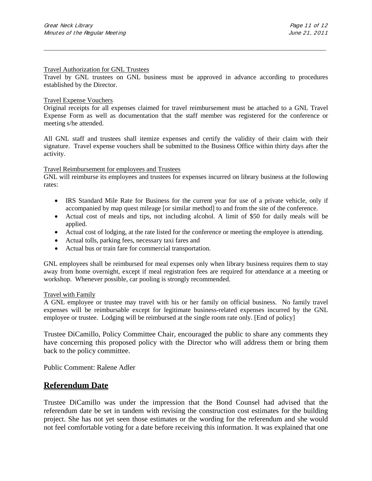#### Travel Authorization for GNL Trustees

Travel by GNL trustees on GNL business must be approved in advance according to procedures established by the Director.

\_\_\_\_\_\_\_\_\_\_\_\_\_\_\_\_\_\_\_\_\_\_\_\_\_\_\_\_\_\_\_\_\_\_\_\_\_\_\_\_\_\_\_\_\_\_\_\_\_\_\_\_\_\_\_\_\_\_\_\_\_\_\_\_\_\_\_\_\_\_\_\_\_\_\_\_\_\_\_\_\_\_\_\_\_\_\_\_\_\_\_\_\_

#### Travel Expense Vouchers

Original receipts for all expenses claimed for travel reimbursement must be attached to a GNL Travel Expense Form as well as documentation that the staff member was registered for the conference or meeting s/he attended.

All GNL staff and trustees shall itemize expenses and certify the validity of their claim with their signature. Travel expense vouchers shall be submitted to the Business Office within thirty days after the activity.

#### Travel Reimbursement for employees and Trustees

GNL will reimburse its employees and trustees for expenses incurred on library business at the following rates:

- IRS Standard Mile Rate for Business for the current year for use of a private vehicle, only if accompanied by map quest mileage [or similar method] to and from the site of the conference.
- Actual cost of meals and tips, not including alcohol. A limit of \$50 for daily meals will be applied.
- Actual cost of lodging, at the rate listed for the conference or meeting the employee is attending.
- Actual tolls, parking fees, necessary taxi fares and
- Actual bus or train fare for commercial transportation.

GNL employees shall be reimbursed for meal expenses only when library business requires them to stay away from home overnight, except if meal registration fees are required for attendance at a meeting or workshop. Whenever possible, car pooling is strongly recommended.

#### Travel with Family

A GNL employee or trustee may travel with his or her family on official business. No family travel expenses will be reimbursable except for legitimate business-related expenses incurred by the GNL employee or trustee. Lodging will be reimbursed at the single room rate only. [End of policy]

Trustee DiCamillo, Policy Committee Chair, encouraged the public to share any comments they have concerning this proposed policy with the Director who will address them or bring them back to the policy committee.

Public Comment: Ralene Adler

## **Referendum Date**

Trustee DiCamillo was under the impression that the Bond Counsel had advised that the referendum date be set in tandem with revising the construction cost estimates for the building project. She has not yet seen those estimates or the wording for the referendum and she would not feel comfortable voting for a date before receiving this information. It was explained that one